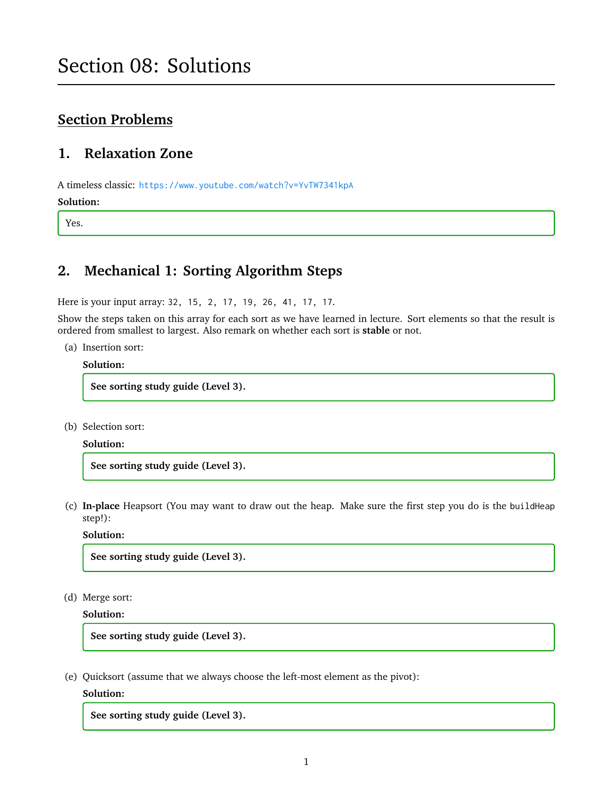# **Section Problems**

# **1. Relaxation Zone**

A timeless classic: <https://www.youtube.com/watch?v=YvTW7341kpA> **Solution:**

Yes.

# **2. Mechanical 1: Sorting Algorithm Steps**

Here is your input array: 32, 15, 2, 17, 19, 26, 41, 17, 17.

Show the steps taken on this array for each sort as we have learned in lecture. Sort elements so that the result is ordered from smallest to largest. Also remark on whether each sort is **stable** or not.

(a) Insertion sort:

#### **Solution:**

**See sorting study guide (Level 3).**

(b) Selection sort:

#### **Solution:**

**See sorting study guide (Level 3).**

(c) **In-place** Heapsort (You may want to draw out the heap. Make sure the first step you do is the buildHeap step!):

#### **Solution:**

**See sorting study guide (Level 3).**

(d) Merge sort:

**Solution:**

**See sorting study guide (Level 3).**

(e) Quicksort (assume that we always choose the left-most element as the pivot):

#### **Solution:**

**See sorting study guide (Level 3).**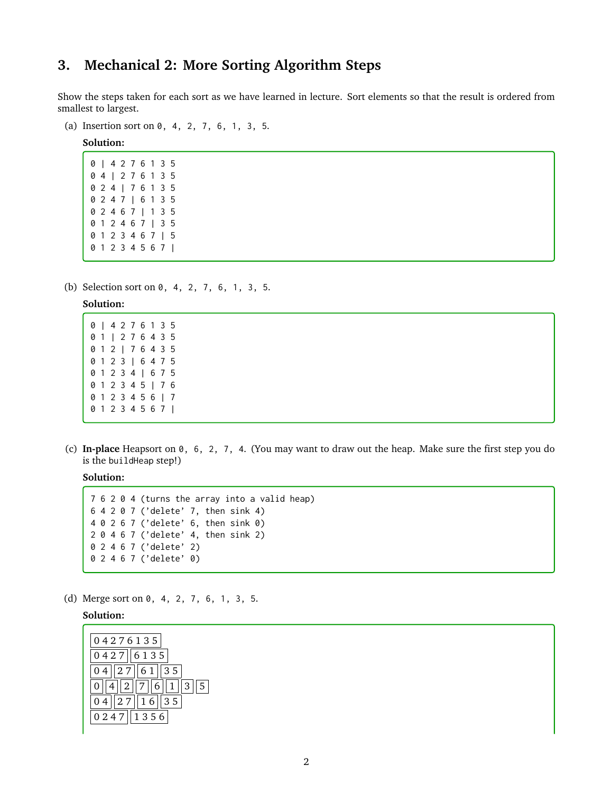# **3. Mechanical 2: More Sorting Algorithm Steps**

Show the steps taken for each sort as we have learned in lecture. Sort elements so that the result is ordered from smallest to largest.

(a) Insertion sort on 0, 4, 2, 7, 6, 1, 3, 5.

**Solution:**

(b) Selection sort on 0, 4, 2, 7, 6, 1, 3, 5.

#### **Solution:**

(c) **In-place** Heapsort on 0, 6, 2, 7, 4. (You may want to draw out the heap. Make sure the first step you do is the buildHeap step!)

**Solution:**

```
7 6 2 0 4 (turns the array into a valid heap)
6 4 2 0 7 ('delete' 7, then sink 4)
4 0 2 6 7 ('delete' 6, then sink 0)
2 0 4 6 7 ('delete' 4, then sink 2)
0 2 4 6 7 ('delete' 2)
0 2 4 6 7 ('delete' 0)
```
(d) Merge sort on 0, 4, 2, 7, 6, 1, 3, 5.

**Solution:**

| 04276135                  |
|---------------------------|
| 0427  6135                |
| 27  61<br>$\parallel$ 3 5 |
| 1  2  7  6  1<br>  3  5   |
| $\ 27\ 16\ 35$            |
| 0247<br>1356              |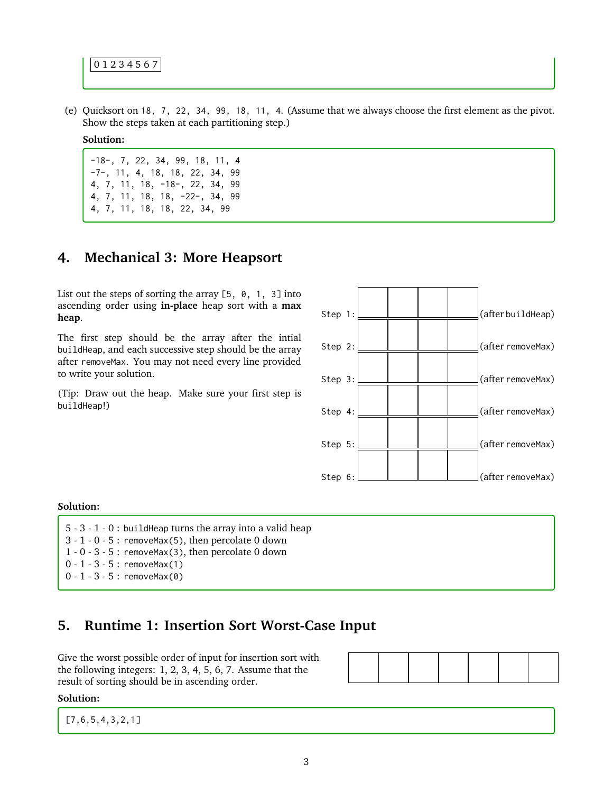0 1 2 3 4 5 6 7

(e) Quicksort on 18, 7, 22, 34, 99, 18, 11, 4. (Assume that we always choose the first element as the pivot. Show the steps taken at each partitioning step.)

#### **Solution:**

-18-, 7, 22, 34, 99, 18, 11, 4 -7-, 11, 4, 18, 18, 22, 34, 99 4, 7, 11, 18, -18-, 22, 34, 99 4, 7, 11, 18, 18, -22-, 34, 99 4, 7, 11, 18, 18, 22, 34, 99

# **4. Mechanical 3: More Heapsort**

List out the steps of sorting the array  $[5, 0, 1, 3]$  into ascending order using **in-place** heap sort with a **max heap**.

The first step should be the array after the intial buildHeap, and each successive step should be the array after removeMax. You may not need every line provided to write your solution.

(Tip: Draw out the heap. Make sure your first step is buildHeap!)



#### **Solution:**

5 - 3 - 1 - 0 : buildHeap turns the array into a valid heap  $3 - 1 - 0 - 5$ : removeMax(5), then percolate 0 down  $1 - 0 - 3 - 5$ : removeMax(3), then percolate 0 down 0 - 1 - 3 - 5 : removeMax(1)  $0 - 1 - 3 - 5$ : removeMax(0)

### **5. Runtime 1: Insertion Sort Worst-Case Input**

Give the worst possible order of input for insertion sort with the following integers: 1, 2, 3, 4, 5, 6, 7. Assume that the result of sorting should be in ascending order.

#### **Solution:**

[7,6,5,4,3,2,1]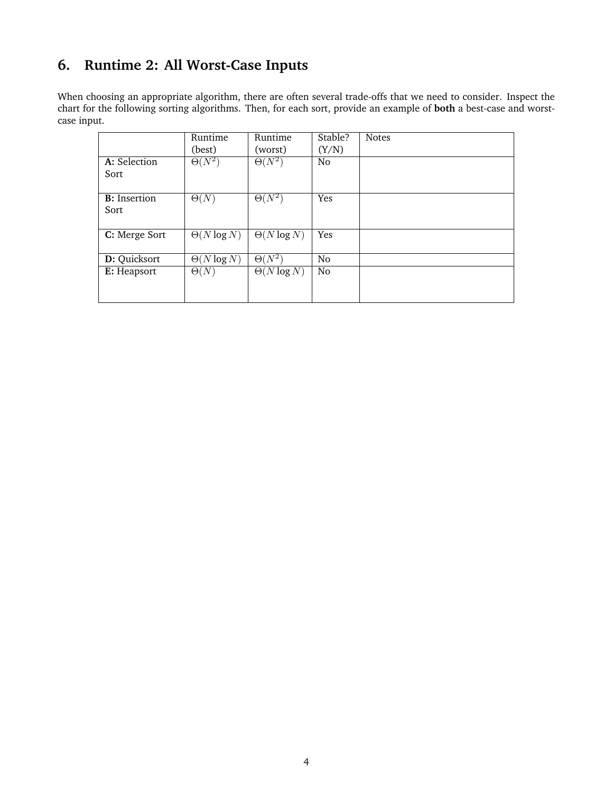# **6. Runtime 2: All Worst-Case Inputs**

When choosing an appropriate algorithm, there are often several trade-offs that we need to consider. Inspect the chart for the following sorting algorithms. Then, for each sort, provide an example of **both** a best-case and worstcase input.

|                      | Runtime            | Runtime                  | Stable?        | <b>Notes</b> |
|----------------------|--------------------|--------------------------|----------------|--------------|
|                      | (best)             | (worst)                  | (Y/N)          |              |
| A: Selection         | $\Theta(N^2)$      | $\Theta(N^2)$            | N <sub>o</sub> |              |
| Sort                 |                    |                          |                |              |
|                      |                    |                          |                |              |
| <b>B</b> : Insertion | $\Theta(N)$        | $\Theta(\overline{N^2})$ | Yes            |              |
| Sort                 |                    |                          |                |              |
|                      |                    |                          |                |              |
| C: Merge Sort        | $\Theta(N \log N)$ | $\Theta(N \log N)$       | Yes            |              |
|                      |                    |                          |                |              |
| D: Quicksort         | $\Theta(N \log N)$ | $\Theta(\bar{N^2})$      | N <sub>o</sub> |              |
| E: Heapsort          | $\Theta(N)$        | $\Theta(N \log N)$       | N <sub>o</sub> |              |
|                      |                    |                          |                |              |
|                      |                    |                          |                |              |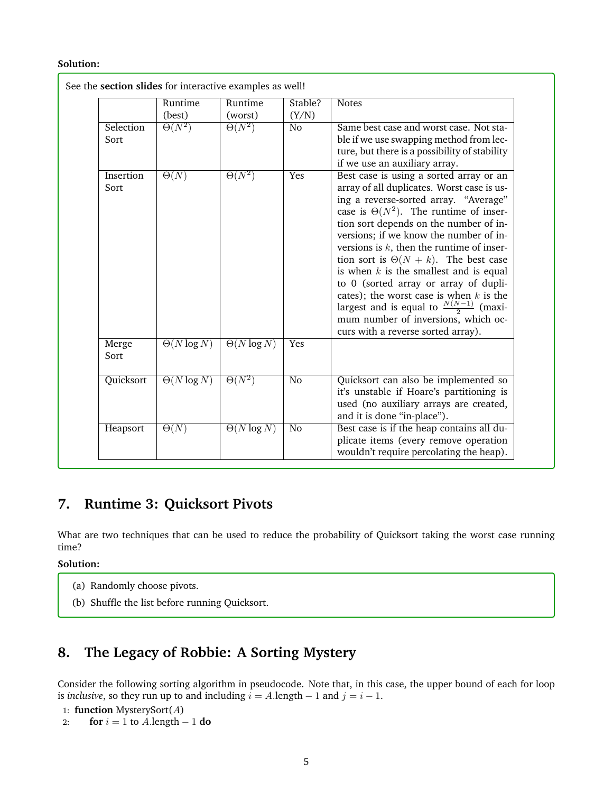#### **Solution:**

|                   | Runtime<br>(best)      | Runtime<br>(worst) | Stable?<br>(Y/N) | <b>Notes</b>                                                                                                                                                                                                                                                                                                                                                                                                                                                                                                                                                                                                                            |
|-------------------|------------------------|--------------------|------------------|-----------------------------------------------------------------------------------------------------------------------------------------------------------------------------------------------------------------------------------------------------------------------------------------------------------------------------------------------------------------------------------------------------------------------------------------------------------------------------------------------------------------------------------------------------------------------------------------------------------------------------------------|
| Selection<br>Sort | $\Theta(N^2)$          | $\Theta(N^2)$      | $\overline{No}$  | Same best case and worst case. Not sta-<br>ble if we use swapping method from lec-<br>ture, but there is a possibility of stability<br>if we use an auxiliary array.                                                                                                                                                                                                                                                                                                                                                                                                                                                                    |
| Insertion<br>Sort | $\overline{\Theta(N)}$ | $\Theta(N^2)$      | Yes              | Best case is using a sorted array or an<br>array of all duplicates. Worst case is us-<br>ing a reverse-sorted array. "Average"<br>case is $\Theta(N^2)$ . The runtime of inser-<br>tion sort depends on the number of in-<br>versions; if we know the number of in-<br>versions is $k$ , then the runtime of inser-<br>tion sort is $\Theta(N + k)$ . The best case<br>is when $k$ is the smallest and is equal<br>to 0 (sorted array or array of dupli-<br>cates); the worst case is when $k$ is the<br>largest and is equal to $\frac{N(N-1)}{2}$ (maxi-<br>mum number of inversions, which oc-<br>curs with a reverse sorted array). |
| Merge<br>Sort     | $\Theta(N \log N)$     | $\Theta(N \log N)$ | Yes              |                                                                                                                                                                                                                                                                                                                                                                                                                                                                                                                                                                                                                                         |
| Quicksort         | $\Theta(N \log N)$     | $\Theta(N^2)$      | $\overline{No}$  | Quicksort can also be implemented so<br>it's unstable if Hoare's partitioning is<br>used (no auxiliary arrays are created,<br>and it is done "in-place").                                                                                                                                                                                                                                                                                                                                                                                                                                                                               |
| Heapsort          | $\Theta(N)$            | $\Theta(N \log N)$ | No               | Best case is if the heap contains all du-<br>plicate items (every remove operation<br>wouldn't require percolating the heap).                                                                                                                                                                                                                                                                                                                                                                                                                                                                                                           |

# **7. Runtime 3: Quicksort Pivots**

What are two techniques that can be used to reduce the probability of Quicksort taking the worst case running time?

#### **Solution:**

- (a) Randomly choose pivots.
- (b) Shuffle the list before running Quicksort.

# **8. The Legacy of Robbie: A Sorting Mystery**

Consider the following sorting algorithm in pseudocode. Note that, in this case, the upper bound of each for loop is *inclusive*, so they run up to and including  $i = A$ .length  $-1$  and  $j = i - 1$ .

1: **function** MysterySort(A)

2: **for**  $i = 1$  to  $A$ . length  $-1$  **do**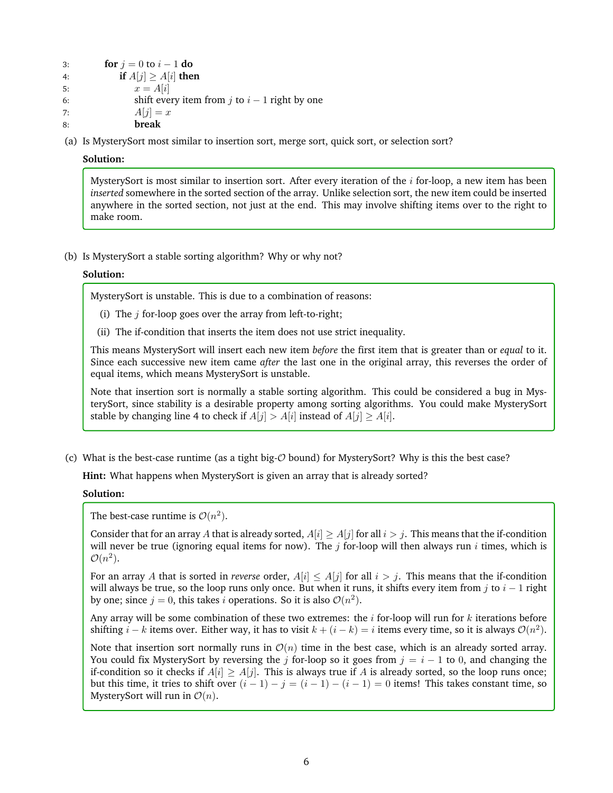- 3: **for**  $j = 0$  to  $i 1$  **do**
- 4: **if**  $A[j] \geq A[i]$  **then**
- 5:  $x = A[i]$
- 6: shift every item from  $j$  to  $i 1$  right by one
- 7:  $A[j] = x$
- 8: **break**
- (a) Is MysterySort most similar to insertion sort, merge sort, quick sort, or selection sort?

#### **Solution:**

MysterySort is most similar to insertion sort. After every iteration of the  $i$  for-loop, a new item has been *inserted* somewhere in the sorted section of the array. Unlike selection sort, the new item could be inserted anywhere in the sorted section, not just at the end. This may involve shifting items over to the right to make room.

(b) Is MysterySort a stable sorting algorithm? Why or why not?

### **Solution:**

MysterySort is unstable. This is due to a combination of reasons:

- (i) The  $j$  for-loop goes over the array from left-to-right;
- (ii) The if-condition that inserts the item does not use strict inequality.

This means MysterySort will insert each new item *before* the first item that is greater than or *equal* to it. Since each successive new item came *after* the last one in the original array, this reverses the order of equal items, which means MysterySort is unstable.

Note that insertion sort is normally a stable sorting algorithm. This could be considered a bug in MysterySort, since stability is a desirable property among sorting algorithms. You could make MysterySort stable by changing line 4 to check if  $A[j] > A[i]$  instead of  $A[j] \geq A[i]$ .

(c) What is the best-case runtime (as a tight big-O bound) for MysterySort? Why is this the best case?

**Hint:** What happens when MysterySort is given an array that is already sorted?

#### **Solution:**

The best-case runtime is  $\mathcal{O}(n^2)$ .

Consider that for an array A that is already sorted,  $A[i] \geq A[j]$  for all  $i > j$ . This means that the if-condition will never be true (ignoring equal items for now). The  $j$  for-loop will then always run  $i$  times, which is  $\mathcal{O}(n^2)$ .

For an array A that is sorted in *reverse* order,  $A[i] \leq A[j]$  for all  $i > j$ . This means that the if-condition will always be true, so the loop runs only once. But when it runs, it shifts every item from j to  $i - 1$  right by one; since  $j = 0$ , this takes i operations. So it is also  $\mathcal{O}(n^2)$ .

Any array will be some combination of these two extremes: the  $i$  for-loop will run for  $k$  iterations before shifting  $i - k$  items over. Either way, it has to visit  $k + (i - k) = i$  items every time, so it is always  $\mathcal{O}(n^2)$ .

Note that insertion sort normally runs in  $\mathcal{O}(n)$  time in the best case, which is an already sorted array. You could fix MysterySort by reversing the j for-loop so it goes from  $j = i - 1$  to 0, and changing the if-condition so it checks if  $A[i] \geq A[j]$ . This is always true if A is already sorted, so the loop runs once; but this time, it tries to shift over  $(i - 1) - j = (i - 1) - (i - 1) = 0$  items! This takes constant time, so MysterySort will run in  $\mathcal{O}(n)$ .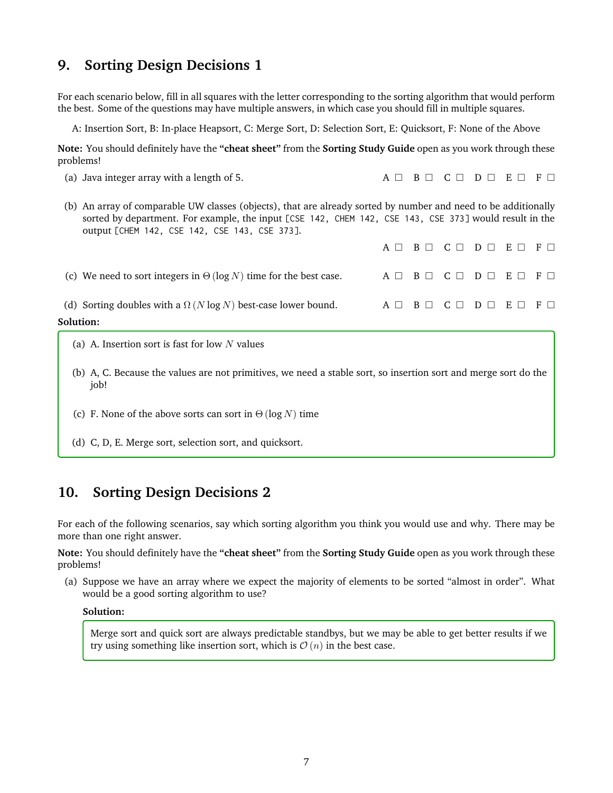# **9. Sorting Design Decisions 1**

For each scenario below, fill in all squares with the letter corresponding to the sorting algorithm that would perform the best. Some of the questions may have multiple answers, in which case you should fill in multiple squares.

A: Insertion Sort, B: In-place Heapsort, C: Merge Sort, D: Selection Sort, E: Quicksort, F: None of the Above

**Note:** You should definitely have the **"cheat sheet"** from the **Sorting Study Guide** open as you work through these problems!

- (a) Java integer array with a length of 5. A  $\Box$  B  $\Box$  C  $\Box$  D  $\Box$  E  $\Box$  F  $\Box$
- (b) An array of comparable UW classes (objects), that are already sorted by number and need to be additionally sorted by department. For example, the input [CSE 142, CHEM 142, CSE 143, CSE 373] would result in the output [CHEM 142, CSE 142, CSE 143, CSE 373].

|                                                                          |  | A $\Box$ B $\Box$ C $\Box$ D $\Box$ E $\Box$ F $\Box$ |  |
|--------------------------------------------------------------------------|--|-------------------------------------------------------|--|
| (c) We need to sort integers in $\Theta(\log N)$ time for the best case. |  |                                                       |  |
| (d) Sorting doubles with a $\Omega$ (N log N) best-case lower bound.     |  |                                                       |  |
| Solution:                                                                |  |                                                       |  |

- (a) A. Insertion sort is fast for low  $N$  values
- (b) A, C. Because the values are not primitives, we need a stable sort, so insertion sort and merge sort do the job!
- (c) F. None of the above sorts can sort in  $\Theta(\log N)$  time
- (d) C, D, E. Merge sort, selection sort, and quicksort.

# **10. Sorting Design Decisions 2**

For each of the following scenarios, say which sorting algorithm you think you would use and why. There may be more than one right answer.

**Note:** You should definitely have the **"cheat sheet"** from the **Sorting Study Guide** open as you work through these problems!

(a) Suppose we have an array where we expect the majority of elements to be sorted "almost in order". What would be a good sorting algorithm to use?

#### **Solution:**

Merge sort and quick sort are always predictable standbys, but we may be able to get better results if we try using something like insertion sort, which is  $\mathcal{O}(n)$  in the best case.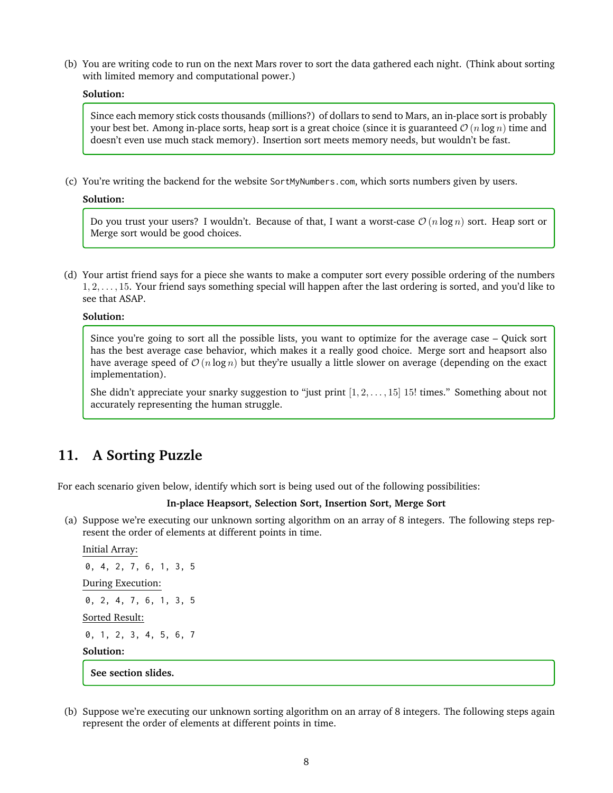(b) You are writing code to run on the next Mars rover to sort the data gathered each night. (Think about sorting with limited memory and computational power.)

#### **Solution:**

Since each memory stick costs thousands (millions?) of dollars to send to Mars, an in-place sort is probably your best bet. Among in-place sorts, heap sort is a great choice (since it is guaranteed  $\mathcal{O}(n \log n)$  time and doesn't even use much stack memory). Insertion sort meets memory needs, but wouldn't be fast.

(c) You're writing the backend for the website SortMyNumbers.com, which sorts numbers given by users.

**Solution:**

Do you trust your users? I wouldn't. Because of that, I want a worst-case  $\mathcal{O}(n \log n)$  sort. Heap sort or Merge sort would be good choices.

(d) Your artist friend says for a piece she wants to make a computer sort every possible ordering of the numbers 1, 2, . . . , 15. Your friend says something special will happen after the last ordering is sorted, and you'd like to see that ASAP.

#### **Solution:**

Since you're going to sort all the possible lists, you want to optimize for the average case – Quick sort has the best average case behavior, which makes it a really good choice. Merge sort and heapsort also have average speed of  $\mathcal{O}(n \log n)$  but they're usually a little slower on average (depending on the exact implementation).

She didn't appreciate your snarky suggestion to "just print  $[1, 2, \ldots, 15]$  15! times." Something about not accurately representing the human struggle.

# **11. A Sorting Puzzle**

For each scenario given below, identify which sort is being used out of the following possibilities:

#### **In-place Heapsort, Selection Sort, Insertion Sort, Merge Sort**

(a) Suppose we're executing our unknown sorting algorithm on an array of 8 integers. The following steps represent the order of elements at different points in time.

```
Initial Array:
0, 4, 2, 7, 6, 1, 3, 5
During Execution:
0, 2, 4, 7, 6, 1, 3, 5
Sorted Result:
0, 1, 2, 3, 4, 5, 6, 7
Solution:
 See section slides.
```
(b) Suppose we're executing our unknown sorting algorithm on an array of 8 integers. The following steps again represent the order of elements at different points in time.